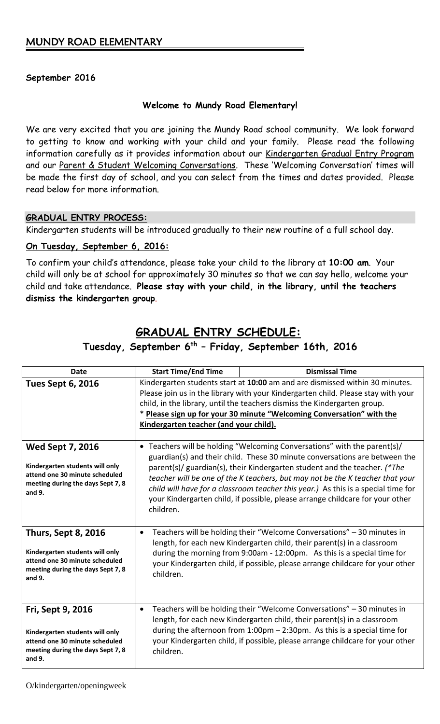### **September 2016**

### **Welcome to Mundy Road Elementary!**

We are very excited that you are joining the Mundy Road school community. We look forward to getting to know and working with your child and your family. Please read the following information carefully as it provides information about our Kindergarten Gradual Entry Program and our Parent & Student Welcoming Conversations. These 'Welcoming Conversation' times will be made the first day of school, and you can select from the times and dates provided. Please read below for more information.

### **GRADUAL ENTRY PROCESS:**

Kindergarten students will be introduced gradually to their new routine of a full school day.

### **On Tuesday, September 6, 2016:**

To confirm your child's attendance, please take your child to the library at **10:00 am**. Your child will only be at school for approximately 30 minutes so that we can say hello, welcome your child and take attendance. **Please stay with your child, in the library, until the teachers dismiss the kindergarten group**.

# **GRADUAL ENTRY SCHEDULE:**

## **Tuesday, September 6 th – Friday, September 16th, 2016**

| <b>Date</b>                                                                                                                                    | <b>Start Time/End Time</b>                                                                                                                                                                                                                                                                                                                                                                                                                                                                              | <b>Dismissal Time</b>                                                                                                                                                                                                                                                                                                |
|------------------------------------------------------------------------------------------------------------------------------------------------|---------------------------------------------------------------------------------------------------------------------------------------------------------------------------------------------------------------------------------------------------------------------------------------------------------------------------------------------------------------------------------------------------------------------------------------------------------------------------------------------------------|----------------------------------------------------------------------------------------------------------------------------------------------------------------------------------------------------------------------------------------------------------------------------------------------------------------------|
| <b>Tues Sept 6, 2016</b>                                                                                                                       | Kindergarten students start at 10:00 am and are dismissed within 30 minutes.<br>Please join us in the library with your Kindergarten child. Please stay with your<br>child, in the library, until the teachers dismiss the Kindergarten group.<br>* Please sign up for your 30 minute "Welcoming Conversation" with the<br>Kindergarten teacher (and your child).                                                                                                                                       |                                                                                                                                                                                                                                                                                                                      |
| <b>Wed Sept 7, 2016</b><br>Kindergarten students will only<br>attend one 30 minute scheduled<br>meeting during the days Sept 7, 8<br>and 9.    | • Teachers will be holding "Welcoming Conversations" with the parent(s)/<br>guardian(s) and their child. These 30 minute conversations are between the<br>parent(s)/ guardian(s), their Kindergarten student and the teacher. (*The<br>teacher will be one of the K teachers, but may not be the K teacher that your<br>child will have for a classroom teacher this year.) As this is a special time for<br>your Kindergarten child, if possible, please arrange childcare for your other<br>children. |                                                                                                                                                                                                                                                                                                                      |
| <b>Thurs, Sept 8, 2016</b><br>Kindergarten students will only<br>attend one 30 minute scheduled<br>meeting during the days Sept 7, 8<br>and 9. | $\bullet$<br>children.                                                                                                                                                                                                                                                                                                                                                                                                                                                                                  | Teachers will be holding their "Welcome Conversations" - 30 minutes in<br>length, for each new Kindergarten child, their parent(s) in a classroom<br>during the morning from 9:00am - 12:00pm. As this is a special time for<br>your Kindergarten child, if possible, please arrange childcare for your other        |
| Fri, Sept 9, 2016<br>Kindergarten students will only<br>attend one 30 minute scheduled<br>meeting during the days Sept 7, 8<br>and 9.          | $\bullet$<br>children.                                                                                                                                                                                                                                                                                                                                                                                                                                                                                  | Teachers will be holding their "Welcome Conversations" - 30 minutes in<br>length, for each new Kindergarten child, their parent(s) in a classroom<br>during the afternoon from $1:00$ pm $- 2:30$ pm. As this is a special time for<br>your Kindergarten child, if possible, please arrange childcare for your other |